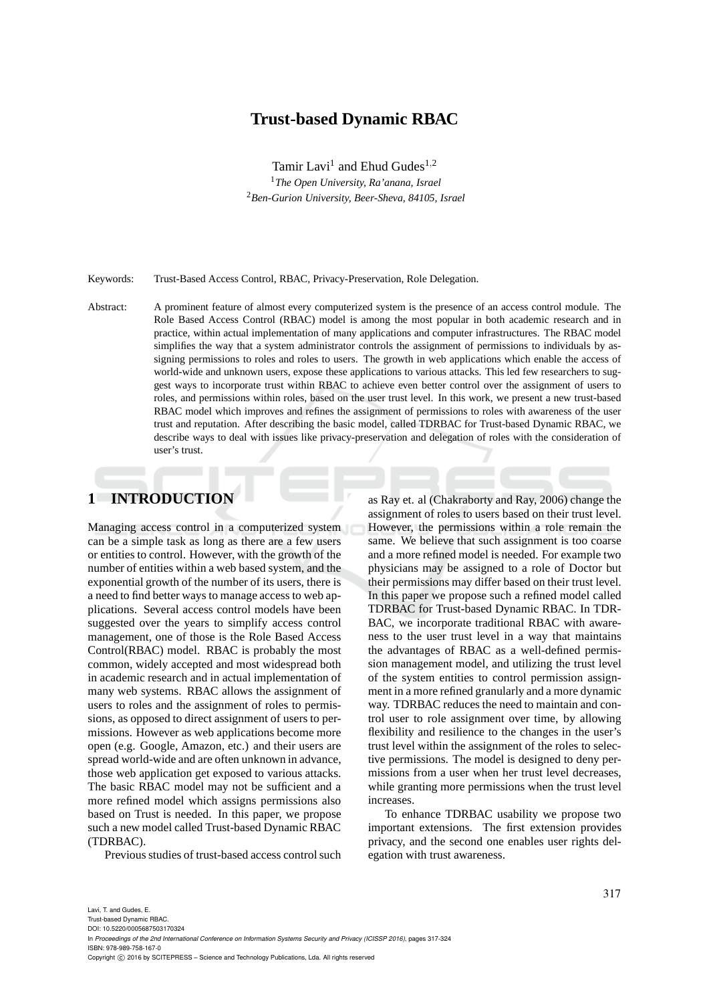# **Trust-based Dynamic RBAC**

Tamir Lavi<sup>1</sup> and Ehud Gudes<sup>1,2</sup> <sup>1</sup>*The Open University, Ra'anana, Israel* <sup>2</sup>*Ben-Gurion University, Beer-Sheva, 84105, Israel*

Keywords: Trust-Based Access Control, RBAC, Privacy-Preservation, Role Delegation.

Abstract: A prominent feature of almost every computerized system is the presence of an access control module. The Role Based Access Control (RBAC) model is among the most popular in both academic research and in practice, within actual implementation of many applications and computer infrastructures. The RBAC model simplifies the way that a system administrator controls the assignment of permissions to individuals by assigning permissions to roles and roles to users. The growth in web applications which enable the access of world-wide and unknown users, expose these applications to various attacks. This led few researchers to suggest ways to incorporate trust within RBAC to achieve even better control over the assignment of users to roles, and permissions within roles, based on the user trust level. In this work, we present a new trust-based RBAC model which improves and refines the assignment of permissions to roles with awareness of the user trust and reputation. After describing the basic model, called TDRBAC for Trust-based Dynamic RBAC, we describe ways to deal with issues like privacy-preservation and delegation of roles with the consideration of user's trust.

# **1 INTRODUCTION**

Managing access control in a computerized system can be a simple task as long as there are a few users or entities to control. However, with the growth of the number of entities within a web based system, and the exponential growth of the number of its users, there is a need to find better ways to manage access to web applications. Several access control models have been suggested over the years to simplify access control management, one of those is the Role Based Access Control(RBAC) model. RBAC is probably the most common, widely accepted and most widespread both in academic research and in actual implementation of many web systems. RBAC allows the assignment of users to roles and the assignment of roles to permissions, as opposed to direct assignment of users to permissions. However as web applications become more open (e.g. Google, Amazon, etc.) and their users are spread world-wide and are often unknown in advance, those web application get exposed to various attacks. The basic RBAC model may not be sufficient and a more refined model which assigns permissions also based on Trust is needed. In this paper, we propose such a new model called Trust-based Dynamic RBAC (TDRBAC).

Previous studies of trust-based access control such

as Ray et. al (Chakraborty and Ray, 2006) change the assignment of roles to users based on their trust level. However, the permissions within a role remain the same. We believe that such assignment is too coarse and a more refined model is needed. For example two physicians may be assigned to a role of Doctor but their permissions may differ based on their trust level. In this paper we propose such a refined model called TDRBAC for Trust-based Dynamic RBAC. In TDR-BAC, we incorporate traditional RBAC with awareness to the user trust level in a way that maintains the advantages of RBAC as a well-defined permission management model, and utilizing the trust level of the system entities to control permission assignment in a more refined granularly and a more dynamic way. TDRBAC reduces the need to maintain and control user to role assignment over time, by allowing flexibility and resilience to the changes in the user's trust level within the assignment of the roles to selective permissions. The model is designed to deny permissions from a user when her trust level decreases, while granting more permissions when the trust level increases.

To enhance TDRBAC usability we propose two important extensions. The first extension provides privacy, and the second one enables user rights delegation with trust awareness.

Trust-based Dynamic RBAC.

DOI: 10.5220/0005687503170324 In *Proceedings of the 2nd International Conference on Information Systems Security and Privacy (ICISSP 2016)*, pages 317-324 ISBN: 978-989-758-167-0

Copyright © 2016 by SCITEPRESS - Science and Technology Publications, Lda. All rights reserved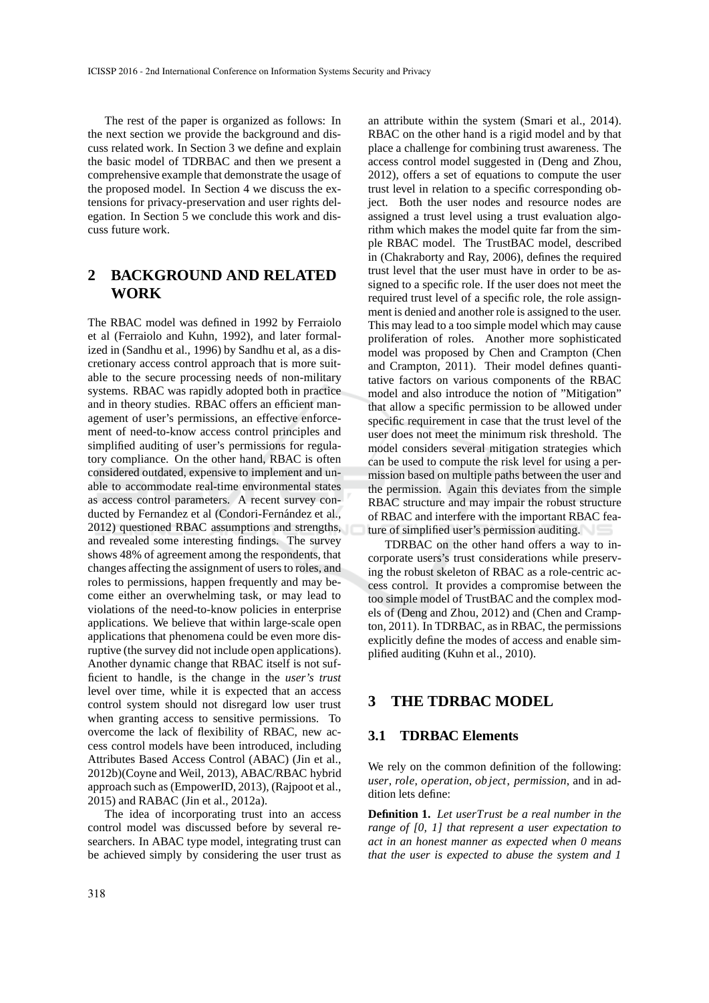The rest of the paper is organized as follows: In the next section we provide the background and discuss related work. In Section 3 we define and explain the basic model of TDRBAC and then we present a comprehensive example that demonstrate the usage of the proposed model. In Section 4 we discuss the extensions for privacy-preservation and user rights delegation. In Section 5 we conclude this work and discuss future work.

# **2 BACKGROUND AND RELATED WORK**

The RBAC model was defined in 1992 by Ferraiolo et al (Ferraiolo and Kuhn, 1992), and later formalized in (Sandhu et al., 1996) by Sandhu et al, as a discretionary access control approach that is more suitable to the secure processing needs of non-military systems. RBAC was rapidly adopted both in practice and in theory studies. RBAC offers an efficient management of user's permissions, an effective enforcement of need-to-know access control principles and simplified auditing of user's permissions for regulatory compliance. On the other hand, RBAC is often considered outdated, expensive to implement and unable to accommodate real-time environmental states as access control parameters. A recent survey conducted by Fernandez et al (Condori-Fernández et al., 2012) questioned RBAC assumptions and strengths, and revealed some interesting findings. The survey shows 48% of agreement among the respondents, that changes affecting the assignment of users to roles, and roles to permissions, happen frequently and may become either an overwhelming task, or may lead to violations of the need-to-know policies in enterprise applications. We believe that within large-scale open applications that phenomena could be even more disruptive (the survey did not include open applications). Another dynamic change that RBAC itself is not sufficient to handle, is the change in the *user's trust* level over time, while it is expected that an access control system should not disregard low user trust when granting access to sensitive permissions. To overcome the lack of flexibility of RBAC, new access control models have been introduced, including Attributes Based Access Control (ABAC) (Jin et al., 2012b)(Coyne and Weil, 2013), ABAC/RBAC hybrid approach such as (EmpowerID, 2013), (Rajpoot et al., 2015) and RABAC (Jin et al., 2012a).

The idea of incorporating trust into an access control model was discussed before by several researchers. In ABAC type model, integrating trust can be achieved simply by considering the user trust as

an attribute within the system (Smari et al., 2014). RBAC on the other hand is a rigid model and by that place a challenge for combining trust awareness. The access control model suggested in (Deng and Zhou, 2012), offers a set of equations to compute the user trust level in relation to a specific corresponding object. Both the user nodes and resource nodes are assigned a trust level using a trust evaluation algorithm which makes the model quite far from the simple RBAC model. The TrustBAC model, described in (Chakraborty and Ray, 2006), defines the required trust level that the user must have in order to be assigned to a specific role. If the user does not meet the required trust level of a specific role, the role assignment is denied and another role is assigned to the user. This may lead to a too simple model which may cause proliferation of roles. Another more sophisticated model was proposed by Chen and Crampton (Chen and Crampton, 2011). Their model defines quantitative factors on various components of the RBAC model and also introduce the notion of "Mitigation" that allow a specific permission to be allowed under specific requirement in case that the trust level of the user does not meet the minimum risk threshold. The model considers several mitigation strategies which can be used to compute the risk level for using a permission based on multiple paths between the user and the permission. Again this deviates from the simple RBAC structure and may impair the robust structure of RBAC and interfere with the important RBAC feature of simplified user's permission auditing.

TDRBAC on the other hand offers a way to incorporate users's trust considerations while preserving the robust skeleton of RBAC as a role-centric access control. It provides a compromise between the too simple model of TrustBAC and the complex models of (Deng and Zhou, 2012) and (Chen and Crampton, 2011). In TDRBAC, as in RBAC, the permissions explicitly define the modes of access and enable simplified auditing (Kuhn et al., 2010).

## **3 THE TDRBAC MODEL**

### **3.1 TDRBAC Elements**

We rely on the common definition of the following: *user*, *role*, *operation*, *ob ject*, *permission*, and in addition lets define:

**Definition 1.** *Let userTrust be a real number in the range of [0, 1] that represent a user expectation to act in an honest manner as expected when 0 means that the user is expected to abuse the system and 1*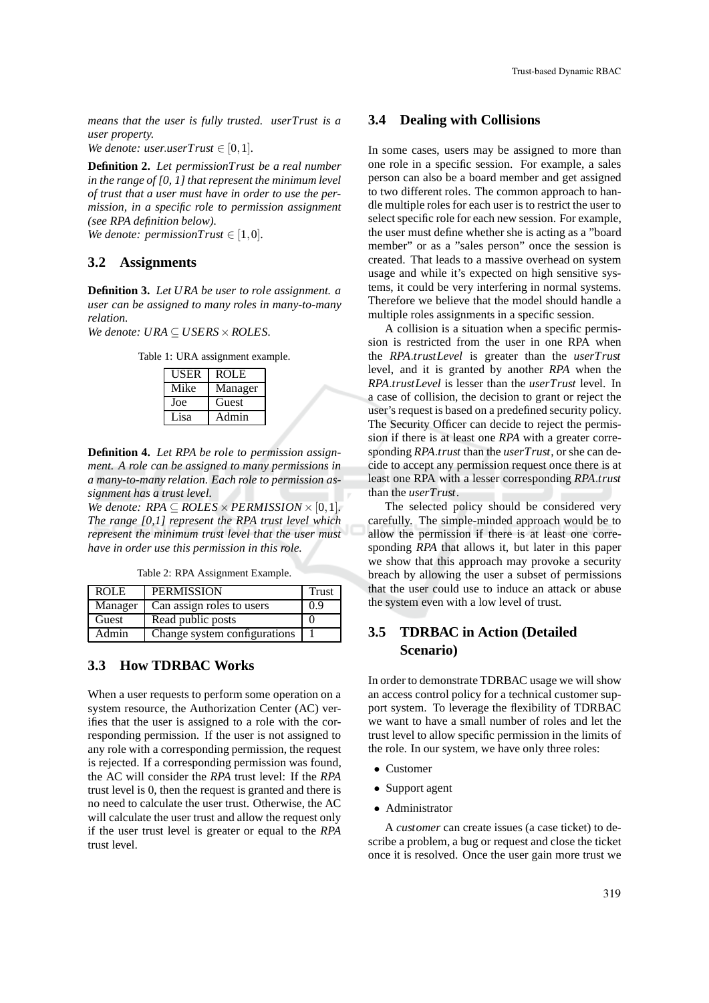*means that the user is fully trusted. userTrust is a user property.*

*We denote: user.userTrust*  $\in$  [0,1]*.* 

**Definition 2.** *Let permissionTrust be a real number in the range of [0, 1] that represent the minimum level of trust that a user must have in order to use the permission, in a specific role to permission assignment (see RPA definition below).*

*We denote: permissionTrust*  $\in$  [1,0]*.* 

### **3.2 Assignments**

**Definition 3.** *Let URA be user to role assignment. a user can be assigned to many roles in many-to-many relation.*

*We denote: URA* ⊆ *USERS*×*ROLES.*

Table 1: URA assignment example.

| USER | <b>ROLE</b> |
|------|-------------|
| Mike | Manager     |
| Joe  | Guest       |
| Lisa | Admin       |

**Definition 4.** *Let RPA be role to permission assignment. A role can be assigned to many permissions in a many-to-many relation. Each role to permission assignment has a trust level.*

*We denote:*  $RPA \subseteq ROLES \times PERMISSION \times [0,1]$ *. The range [0,1] represent the RPA trust level which represent the minimum trust level that the user must have in order use this permission in this role.*

Table 2: RPA Assignment Example.

| <b>ROLE</b> | <b>PERMISSION</b>            | <b>Trust</b> |
|-------------|------------------------------|--------------|
| Manager     | Can assign roles to users    | 0.9          |
| Guest       | Read public posts            |              |
| Admin       | Change system configurations |              |

### **3.3 How TDRBAC Works**

When a user requests to perform some operation on a system resource, the Authorization Center (AC) verifies that the user is assigned to a role with the corresponding permission. If the user is not assigned to any role with a corresponding permission, the request is rejected. If a corresponding permission was found, the AC will consider the *RPA* trust level: If the *RPA* trust level is 0, then the request is granted and there is no need to calculate the user trust. Otherwise, the AC will calculate the user trust and allow the request only if the user trust level is greater or equal to the *RPA* trust level.

#### **3.4 Dealing with Collisions**

In some cases, users may be assigned to more than one role in a specific session. For example, a sales person can also be a board member and get assigned to two different roles. The common approach to handle multiple roles for each user is to restrict the user to select specific role for each new session. For example, the user must define whether she is acting as a "board member" or as a "sales person" once the session is created. That leads to a massive overhead on system usage and while it's expected on high sensitive systems, it could be very interfering in normal systems. Therefore we believe that the model should handle a multiple roles assignments in a specific session.

A collision is a situation when a specific permission is restricted from the user in one RPA when the *RPA*.*trustLevel* is greater than the *userTrust* level, and it is granted by another *RPA* when the *RPA*.*trustLevel* is lesser than the *userTrust* level. In a case of collision, the decision to grant or reject the user's request is based on a predefined security policy. The Security Officer can decide to reject the permission if there is at least one *RPA* with a greater corresponding *RPA*.*trust* than the *userTrust*, or she can decide to accept any permission request once there is at least one RPA with a lesser corresponding *RPA*.*trust* than the *userTrust*.

The selected policy should be considered very carefully. The simple-minded approach would be to allow the permission if there is at least one corresponding *RPA* that allows it, but later in this paper we show that this approach may provoke a security breach by allowing the user a subset of permissions that the user could use to induce an attack or abuse the system even with a low level of trust.

# **3.5 TDRBAC in Action (Detailed Scenario)**

In order to demonstrate TDRBAC usage we will show an access control policy for a technical customer support system. To leverage the flexibility of TDRBAC we want to have a small number of roles and let the trust level to allow specific permission in the limits of the role. In our system, we have only three roles:

- Customer
- Support agent
- Administrator

A *customer* can create issues (a case ticket) to describe a problem, a bug or request and close the ticket once it is resolved. Once the user gain more trust we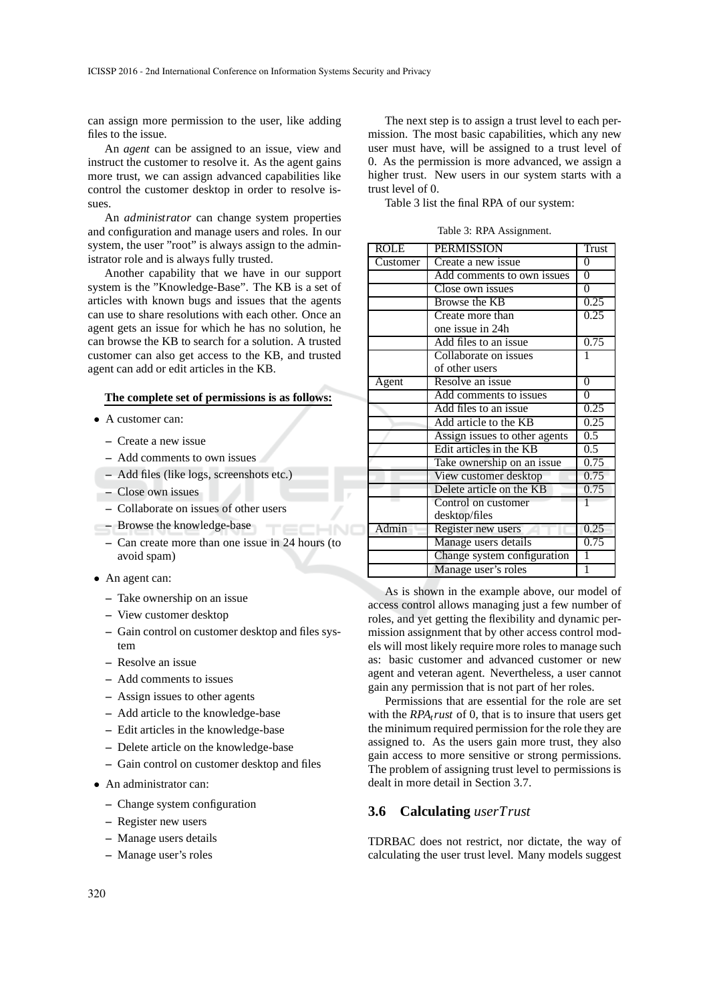can assign more permission to the user, like adding files to the issue.

An *agent* can be assigned to an issue, view and instruct the customer to resolve it. As the agent gains more trust, we can assign advanced capabilities like control the customer desktop in order to resolve issues.

An *administrator* can change system properties and configuration and manage users and roles. In our system, the user "root" is always assign to the administrator role and is always fully trusted.

Another capability that we have in our support system is the "Knowledge-Base". The KB is a set of articles with known bugs and issues that the agents can use to share resolutions with each other. Once an agent gets an issue for which he has no solution, he can browse the KB to search for a solution. A trusted customer can also get access to the KB, and trusted agent can add or edit articles in the KB.

#### **The complete set of permissions is as follows:**

- A customer can:
	- **–** Create a new issue
	- **–** Add comments to own issues
	- **–** Add files (like logs, screenshots etc.)
	- **–** Close own issues
	- **–** Collaborate on issues of other users
- **–** Browse the knowledge-base
	- **–** Can create more than one issue in 24 hours (to avoid spam)

HNC

- An agent can:
	- **–** Take ownership on an issue
	- **–** View customer desktop
	- **–** Gain control on customer desktop and files system
	- **–** Resolve an issue
	- **–** Add comments to issues
	- **–** Assign issues to other agents
	- **–** Add article to the knowledge-base
	- **–** Edit articles in the knowledge-base
	- **–** Delete article on the knowledge-base
	- **–** Gain control on customer desktop and files
- An administrator can:
	- **–** Change system configuration
	- **–** Register new users
	- **–** Manage users details
	- **–** Manage user's roles

The next step is to assign a trust level to each permission. The most basic capabilities, which any new user must have, will be assigned to a trust level of 0. As the permission is more advanced, we assign a higher trust. New users in our system starts with a trust level of 0.

Table 3 list the final RPA of our system:

Table 3: RPA Assignment.

| <b>ROLE</b> | <b>PERMISSION</b>             | Trust          |
|-------------|-------------------------------|----------------|
| Customer    | Create a new issue            | $\theta$       |
|             | Add comments to own issues    | $\overline{0}$ |
|             | Close own issues              | $\overline{0}$ |
|             | Browse the KB                 | 0.25           |
|             | Create more than              | 0.25           |
|             | one issue in 24h              |                |
|             | Add files to an issue         | 0.75           |
|             | Collaborate on issues         | 1              |
|             | of other users                |                |
| Agent       | Resolve an issue              | $\mathbf{0}$   |
|             | Add comments to issues        | $\theta$       |
|             | Add files to an issue         | 0.25           |
|             | Add article to the KB         | 0.25           |
|             | Assign issues to other agents | 0.5            |
|             | Edit articles in the KB       | 0.5            |
|             | Take ownership on an issue    | 0.75           |
|             | View customer desktop         | 0.75           |
|             | Delete article on the KB      | 0.75           |
|             | Control on customer           |                |
|             | desktop/files                 |                |
| Admin       | Register new users            | 0.25           |
|             | Manage users details          | 0.75           |
|             | Change system configuration   | 1              |
|             | Manage user's roles           | 1              |

As is shown in the example above, our model of access control allows managing just a few number of roles, and yet getting the flexibility and dynamic permission assignment that by other access control models will most likely require more roles to manage such as: basic customer and advanced customer or new agent and veteran agent. Nevertheless, a user cannot gain any permission that is not part of her roles.

Permissions that are essential for the role are set with the *RPAtrust* of 0, that is to insure that users get the minimum required permission for the role they are assigned to. As the users gain more trust, they also gain access to more sensitive or strong permissions. The problem of assigning trust level to permissions is dealt in more detail in Section 3.7.

### **3.6 Calculating** *userTrust*

TDRBAC does not restrict, nor dictate, the way of calculating the user trust level. Many models suggest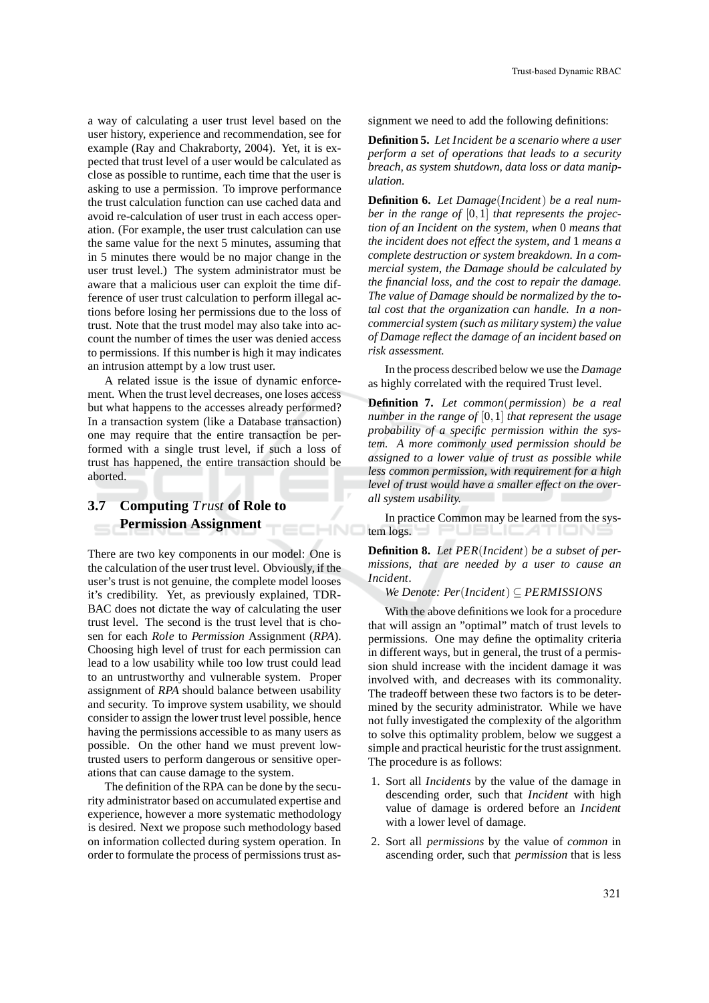a way of calculating a user trust level based on the user history, experience and recommendation, see for example (Ray and Chakraborty, 2004). Yet, it is expected that trust level of a user would be calculated as close as possible to runtime, each time that the user is asking to use a permission. To improve performance the trust calculation function can use cached data and avoid re-calculation of user trust in each access operation. (For example, the user trust calculation can use the same value for the next 5 minutes, assuming that in 5 minutes there would be no major change in the user trust level.) The system administrator must be aware that a malicious user can exploit the time difference of user trust calculation to perform illegal actions before losing her permissions due to the loss of trust. Note that the trust model may also take into account the number of times the user was denied access to permissions. If this number is high it may indicates an intrusion attempt by a low trust user.

A related issue is the issue of dynamic enforcement. When the trust level decreases, one loses access but what happens to the accesses already performed? In a transaction system (like a Database transaction) one may require that the entire transaction be performed with a single trust level, if such a loss of trust has happened, the entire transaction should be aborted.

HNC

# **3.7 Computing** *Trust* **of Role to Permission Assignment**

There are two key components in our model: One is the calculation of the user trust level. Obviously, if the user's trust is not genuine, the complete model looses it's credibility. Yet, as previously explained, TDR-BAC does not dictate the way of calculating the user trust level. The second is the trust level that is chosen for each *Role* to *Permission* Assignment (*RPA*). Choosing high level of trust for each permission can lead to a low usability while too low trust could lead to an untrustworthy and vulnerable system. Proper assignment of *RPA* should balance between usability and security. To improve system usability, we should consider to assign the lower trust level possible, hence having the permissions accessible to as many users as possible. On the other hand we must prevent lowtrusted users to perform dangerous or sensitive operations that can cause damage to the system.

The definition of the RPA can be done by the security administrator based on accumulated expertise and experience, however a more systematic methodology is desired. Next we propose such methodology based on information collected during system operation. In order to formulate the process of permissions trust assignment we need to add the following definitions:

**Definition 5.** *Let Incident be a scenario where a user perform a set of operations that leads to a security breach, as system shutdown, data loss or data manipulation.*

**Definition 6.** *Let Damage*(*Incident*) *be a real number in the range of* [0,1] *that represents the projection of an Incident on the system, when* 0 *means that the incident does not effect the system, and* 1 *means a complete destruction or system breakdown. In a commercial system, the Damage should be calculated by the financial loss, and the cost to repair the damage. The value of Damage should be normalized by the total cost that the organization can handle. In a noncommercial system (such as military system) the value of Damage reflect the damage of an incident based on risk assessment.*

In the process described below we use the *Damage* as highly correlated with the required Trust level.

**Definition 7.** *Let common*(*permission*) *be a real number in the range of* [0,1] *that represent the usage probability of a specific permission within the system. A more commonly used permission should be assigned to a lower value of trust as possible while less common permission, with requirement for a high level of trust would have a smaller effect on the overall system usability.*

In practice Common may be learned from the system logs. PUBLIC ATIONS

**Definition 8.** *Let PER*(*Incident*) *be a subset of permissions, that are needed by a user to cause an Incident.*

#### *We Denote: Per*(*Incident*) ⊆ *PERMISSIONS*

With the above definitions we look for a procedure that will assign an "optimal" match of trust levels to permissions. One may define the optimality criteria in different ways, but in general, the trust of a permission shuld increase with the incident damage it was involved with, and decreases with its commonality. The tradeoff between these two factors is to be determined by the security administrator. While we have not fully investigated the complexity of the algorithm to solve this optimality problem, below we suggest a simple and practical heuristic for the trust assignment. The procedure is as follows:

- 1. Sort all *Incidents* by the value of the damage in descending order, such that *Incident* with high value of damage is ordered before an *Incident* with a lower level of damage.
- 2. Sort all *permissions* by the value of *common* in ascending order, such that *permission* that is less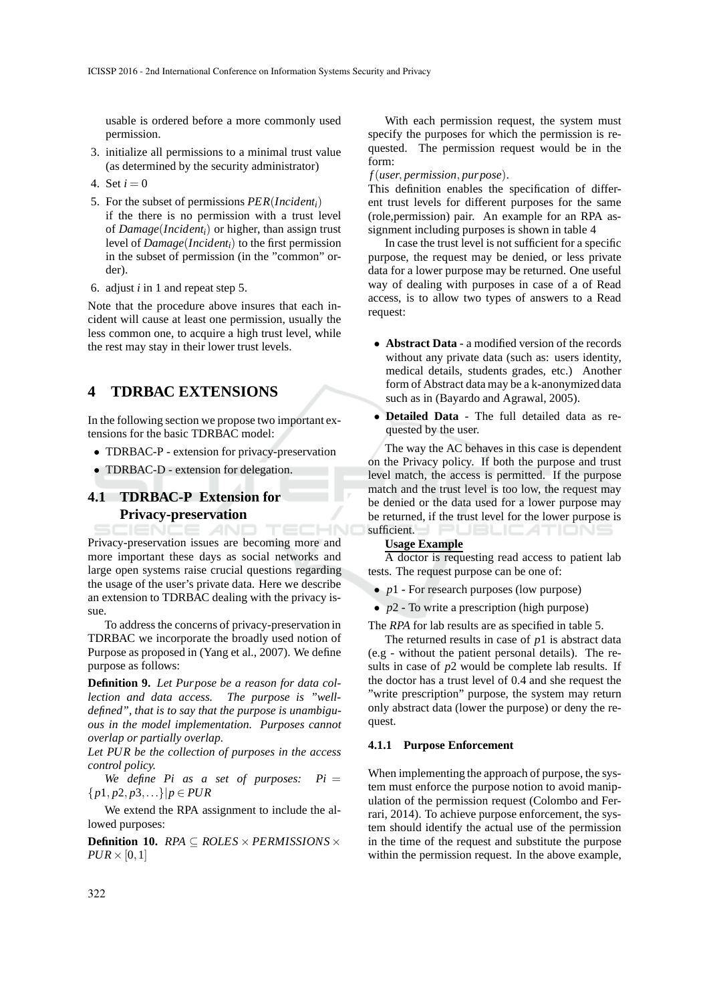usable is ordered before a more commonly used permission.

- 3. initialize all permissions to a minimal trust value (as determined by the security administrator)
- 4. Set  $i = 0$
- 5. For the subset of permissions *PER*(*Incidenti*) if the there is no permission with a trust level of *Damage*(*Incidenti*) or higher, than assign trust level of *Damage*(*Incidenti*) to the first permission in the subset of permission (in the "common" order).
- 6. adjust *i* in 1 and repeat step 5.

Note that the procedure above insures that each incident will cause at least one permission, usually the less common one, to acquire a high trust level, while the rest may stay in their lower trust levels.

## **4 TDRBAC EXTENSIONS**

In the following section we propose two important extensions for the basic TDRBAC model:

- TDRBAC-P extension for privacy-preservation
- TDRBAC-D extension for delegation.

### **4.1 TDRBAC-P Extension for Privacy-preservation**

AND TEC Privacy-preservation issues are becoming more and more important these days as social networks and large open systems raise crucial questions regarding the usage of the user's private data. Here we describe an extension to TDRBAC dealing with the privacy issue.

To address the concerns of privacy-preservation in TDRBAC we incorporate the broadly used notion of Purpose as proposed in (Yang et al., 2007). We define purpose as follows:

**Definition 9.** *Let Purpose be a reason for data collection and data access. The purpose is "welldefined", that is to say that the purpose is unambiguous in the model implementation. Purposes cannot overlap or partially overlap.*

*Let PUR be the collection of purposes in the access control policy.*

We define  $Pi$  as a set of purposes:  $Pi =$ {*p*1, *p*2, *p*3,...}|*p* ∈ *PUR*

We extend the RPA assignment to include the allowed purposes:

**Definition 10.** *RPA* ⊆ *ROLES* × *PERMISSIONS* ×  $PUR \times [0,1]$ 

With each permission request, the system must specify the purposes for which the permission is requested. The permission request would be in the form:

### *f*(*user*, *permission*, *purpose*).

This definition enables the specification of different trust levels for different purposes for the same (role,permission) pair. An example for an RPA assignment including purposes is shown in table 4

In case the trust level is not sufficient for a specific purpose, the request may be denied, or less private data for a lower purpose may be returned. One useful way of dealing with purposes in case of a of Read access, is to allow two types of answers to a Read request:

- **Abstract Data** a modified version of the records without any private data (such as: users identity, medical details, students grades, etc.) Another form of Abstract data may be a k-anonymized data such as in (Bayardo and Agrawal, 2005).
- **Detailed Data** The full detailed data as requested by the user.

The way the AC behaves in this case is dependent on the Privacy policy. If both the purpose and trust level match, the access is permitted. If the purpose match and the trust level is too low, the request may be denied or the data used for a lower purpose may be returned, if the trust level for the lower purpose is sufficient. **EXECUTE: ATTENT** 

#### **Usage Example**

A doctor is requesting read access to patient lab tests. The request purpose can be one of:

- *p*1 For research purposes (low purpose)
- *p*2 To write a prescription (high purpose)

The *RPA* for lab results are as specified in table 5.

The returned results in case of *p*1 is abstract data (e.g - without the patient personal details). The results in case of *p*2 would be complete lab results. If the doctor has a trust level of 0.4 and she request the "write prescription" purpose, the system may return only abstract data (lower the purpose) or deny the request.

#### **4.1.1 Purpose Enforcement**

When implementing the approach of purpose, the system must enforce the purpose notion to avoid manipulation of the permission request (Colombo and Ferrari, 2014). To achieve purpose enforcement, the system should identify the actual use of the permission in the time of the request and substitute the purpose within the permission request. In the above example,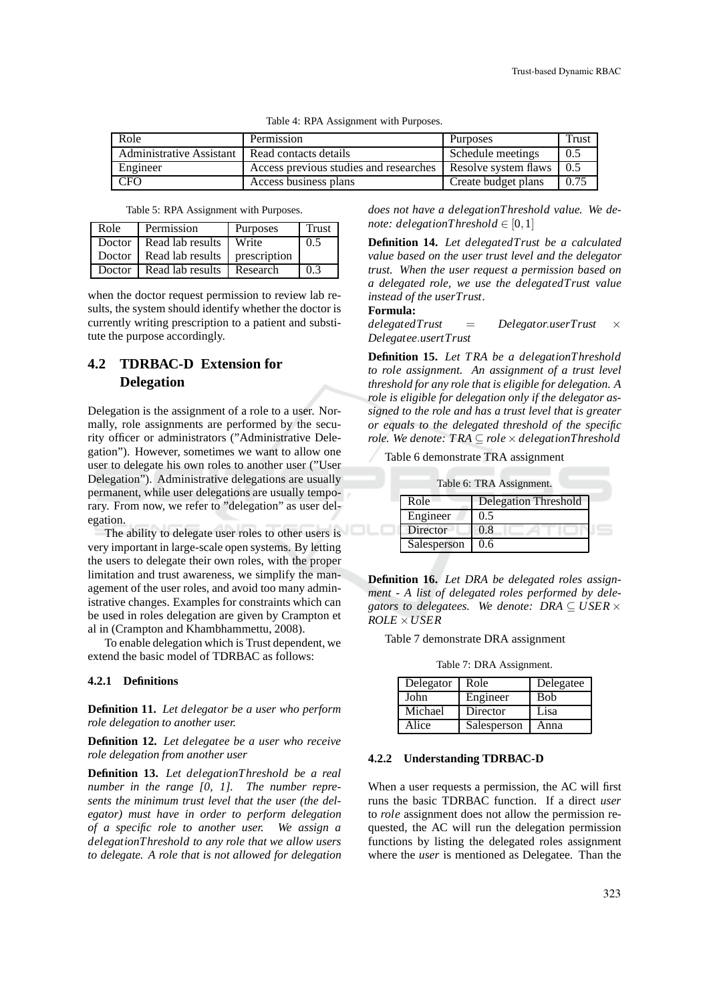| Role                     | Permission                             | <b>Purposes</b>      | Trust |
|--------------------------|----------------------------------------|----------------------|-------|
| Administrative Assistant | Read contacts details                  | Schedule meetings    | 0.5   |
| Engineer                 | Access previous studies and researches | Resolve system flaws | 0.5   |
| <b>CFO</b>               | Access business plans                  | Create budget plans  | 0.75  |

| Table 4: RPA Assignment with Purposes. |  |  |  |
|----------------------------------------|--|--|--|
|----------------------------------------|--|--|--|

| Table 5: RPA Assignment with Purposes. |  |  |  |
|----------------------------------------|--|--|--|
|----------------------------------------|--|--|--|

| Role   | Permission       | Purposes     | Trust |
|--------|------------------|--------------|-------|
| Doctor | Read lab results | Write        | 0.5   |
| Doctor | Read lab results | prescription |       |
| Doctor | Read lab results | Research     | 0.3   |

when the doctor request permission to review lab results, the system should identify whether the doctor is currently writing prescription to a patient and substitute the purpose accordingly.

# **4.2 TDRBAC-D Extension for Delegation**

Delegation is the assignment of a role to a user. Normally, role assignments are performed by the security officer or administrators ("Administrative Delegation"). However, sometimes we want to allow one user to delegate his own roles to another user ("User Delegation"). Administrative delegations are usually permanent, while user delegations are usually temporary. From now, we refer to "delegation" as user delegation.

The ability to delegate user roles to other users is very important in large-scale open systems. By letting the users to delegate their own roles, with the proper limitation and trust awareness, we simplify the management of the user roles, and avoid too many administrative changes. Examples for constraints which can be used in roles delegation are given by Crampton et al in (Crampton and Khambhammettu, 2008).

To enable delegation which is Trust dependent, we extend the basic model of TDRBAC as follows:

#### **4.2.1 Definitions**

**Definition 11.** *Let delegator be a user who perform role delegation to another user.*

**Definition 12.** *Let delegatee be a user who receive role delegation from another user*

**Definition 13.** *Let delegationThreshold be a real number in the range [0, 1]. The number represents the minimum trust level that the user (the delegator) must have in order to perform delegation of a specific role to another user. We assign a delegationThreshold to any role that we allow users to delegate. A role that is not allowed for delegation* *does not have a delegationThreshold value. We denote: delegationThreshold*  $\in$  [0,1]

**Definition 14.** *Let delegatedTrust be a calculated value based on the user trust level and the delegator trust. When the user request a permission based on a delegated role, we use the delegatedTrust value instead of the userTrust.*

#### **Formula:**

*delegatedTrust* = *Delegator*.*userTrust* × *Delegatee*.*usertTrust*

**Definition 15.** *Let T RA be a delegationThreshold to role assignment. An assignment of a trust level threshold for any role that is eligible for delegation. A role is eligible for delegation only if the delegator assigned to the role and has a trust level that is greater or equals to the delegated threshold of the specific role.* We denote: TRA ⊂ *role*  $\times$  *delegationThreshold* 

Table 6 demonstrate TRA assignment

| Table 6: TRA Assignment. |             |                             |  |
|--------------------------|-------------|-----------------------------|--|
|                          | Role        | <b>Delegation Threshold</b> |  |
|                          | Engineer    | 0.5                         |  |
|                          | Director    | 0.8                         |  |
|                          | Salesperson | 0.6                         |  |

**Definition 16.** *Let DRA be delegated roles assignment - A list of delegated roles performed by dele*gators to delegatees. We denote:  $DRA \subseteq \text{USER} \times$ *ROLE* ×*USER*

Table 7 demonstrate DRA assignment

Table 7: DRA Assignment.

| Delegator | Role        | Delegatee   |
|-----------|-------------|-------------|
| John      | Engineer    | <b>B</b> ob |
| Michael   | Director    | Lisa        |
| Alice     | Salesperson | Anna        |

#### **4.2.2 Understanding TDRBAC-D**

When a user requests a permission, the AC will first runs the basic TDRBAC function. If a direct *user* to *role* assignment does not allow the permission requested, the AC will run the delegation permission functions by listing the delegated roles assignment where the *user* is mentioned as Delegatee. Than the